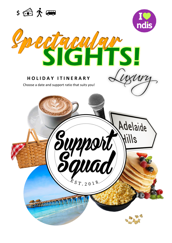